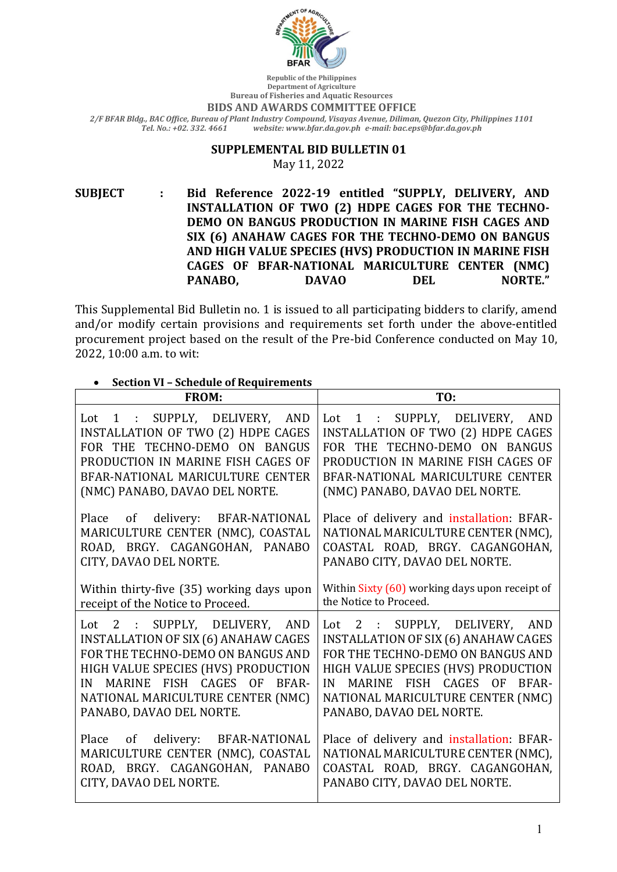

**Republic of the Philippines Department of Agriculture Bureau of Fisheries and Aquatic Resources** 

## **BIDS AND AWARDS COMMITTEE OFFICE**

*2/F BFAR Bldg., BAC Office, Bureau of Plant Industry Compound, Visayas Avenue, Diliman, Quezon City, Philippines 1101 Tel. No.: +02. 332. 4661 website: www.bfar.da.gov.ph e-mail: bac.eps@bfar.da.gov.ph*

## **SUPPLEMENTAL BID BULLETIN 01**

May 11, 2022

**SUBJECT : Bid Reference 2022-19 entitled "SUPPLY, DELIVERY, AND INSTALLATION OF TWO (2) HDPE CAGES FOR THE TECHNO-DEMO ON BANGUS PRODUCTION IN MARINE FISH CAGES AND SIX (6) ANAHAW CAGES FOR THE TECHNO-DEMO ON BANGUS** AND HIGH VALUE SPECIES (HVS) PRODUCTION IN MARINE FISH **CAGES OF BFAR-NATIONAL MARICULTURE CENTER (NMC) PANABO, BAVAO DEL NORTE."** 

This Supplemental Bid Bulletin no. 1 is issued to all participating bidders to clarify, amend and/or modify certain provisions and requirements set forth under the above-entitled procurement project based on the result of the Pre-bid Conference conducted on May 10, 2022, 10:00 a.m. to wit:

| <b>Section VI - Schedule of Requirements</b>                                                                                                                                                                                                                            |                                                                                                                                                                                                                                                                            |  |  |  |
|-------------------------------------------------------------------------------------------------------------------------------------------------------------------------------------------------------------------------------------------------------------------------|----------------------------------------------------------------------------------------------------------------------------------------------------------------------------------------------------------------------------------------------------------------------------|--|--|--|
| <b>FROM:</b>                                                                                                                                                                                                                                                            | TO:                                                                                                                                                                                                                                                                        |  |  |  |
| Lot 1 : SUPPLY, DELIVERY, AND<br>INSTALLATION OF TWO (2) HDPE CAGES<br>FOR THE TECHNO-DEMO ON BANGUS<br>PRODUCTION IN MARINE FISH CAGES OF<br>BFAR-NATIONAL MARICULTURE CENTER<br>(NMC) PANABO, DAVAO DEL NORTE.                                                        | Lot 1 : SUPPLY, DELIVERY, AND<br>INSTALLATION OF TWO (2) HDPE CAGES<br>FOR THE TECHNO-DEMO ON BANGUS<br>PRODUCTION IN MARINE FISH CAGES OF<br>BFAR-NATIONAL MARICULTURE CENTER<br>(NMC) PANABO, DAVAO DEL NORTE.                                                           |  |  |  |
| of delivery: BFAR-NATIONAL<br>Place<br>MARICULTURE CENTER (NMC), COASTAL<br>ROAD, BRGY. CAGANGOHAN, PANABO<br>CITY, DAVAO DEL NORTE.                                                                                                                                    | Place of delivery and installation: BFAR-<br>NATIONAL MARICULTURE CENTER (NMC),<br>COASTAL ROAD, BRGY. CAGANGOHAN,<br>PANABO CITY, DAVAO DEL NORTE.                                                                                                                        |  |  |  |
| Within thirty-five (35) working days upon<br>receipt of the Notice to Proceed.                                                                                                                                                                                          | Within Sixty (60) working days upon receipt of<br>the Notice to Proceed.                                                                                                                                                                                                   |  |  |  |
| Lot 2 : SUPPLY, DELIVERY,<br><b>AND</b><br><b>INSTALLATION OF SIX (6) ANAHAW CAGES</b><br>FOR THE TECHNO-DEMO ON BANGUS AND<br>HIGH VALUE SPECIES (HVS) PRODUCTION<br>MARINE FISH CAGES OF BFAR-<br>IN<br>NATIONAL MARICULTURE CENTER (NMC)<br>PANABO, DAVAO DEL NORTE. | Lot 2 : SUPPLY, DELIVERY,<br><b>AND</b><br><b>INSTALLATION OF SIX (6) ANAHAW CAGES</b><br>FOR THE TECHNO-DEMO ON BANGUS AND<br>HIGH VALUE SPECIES (HVS) PRODUCTION<br>MARINE FISH CAGES OF<br>BFAR-<br>IN<br>NATIONAL MARICULTURE CENTER (NMC)<br>PANABO, DAVAO DEL NORTE. |  |  |  |
| delivery: BFAR-NATIONAL<br>Place<br>of<br>MARICULTURE CENTER (NMC), COASTAL<br>ROAD, BRGY. CAGANGOHAN, PANABO<br>CITY, DAVAO DEL NORTE.                                                                                                                                 | Place of delivery and installation: BFAR-<br>NATIONAL MARICULTURE CENTER (NMC),<br>COASTAL ROAD, BRGY. CAGANGOHAN,<br>PANABO CITY, DAVAO DEL NORTE.                                                                                                                        |  |  |  |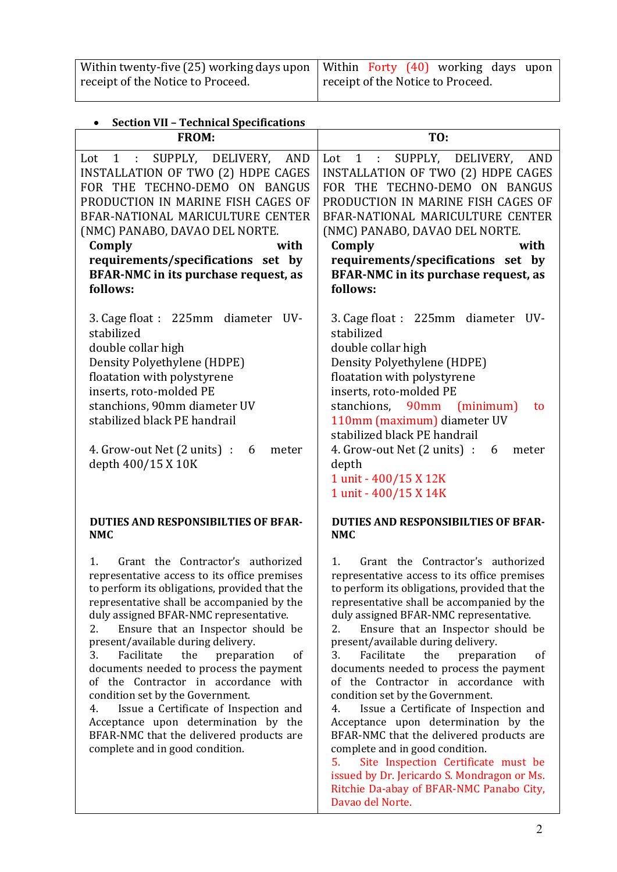| Within twenty-five (25) working days upon   Within Forty $(40)$ working days upon |                                   |  |  |  |
|-----------------------------------------------------------------------------------|-----------------------------------|--|--|--|
| receipt of the Notice to Proceed.                                                 | receipt of the Notice to Proceed. |  |  |  |

| <b>Section VII - Technical Specifications</b> |  |
|-----------------------------------------------|--|

| Section VII - Tecnincal Specifications                                                                                                                                                                                                                                                                                                                                                                                                                                                                                                                                                                                                                          |                                                                                                                                                                                                                                                                                                                                                                                                                                                                                                                                                                                                                                                                                                                                                                                                         |
|-----------------------------------------------------------------------------------------------------------------------------------------------------------------------------------------------------------------------------------------------------------------------------------------------------------------------------------------------------------------------------------------------------------------------------------------------------------------------------------------------------------------------------------------------------------------------------------------------------------------------------------------------------------------|---------------------------------------------------------------------------------------------------------------------------------------------------------------------------------------------------------------------------------------------------------------------------------------------------------------------------------------------------------------------------------------------------------------------------------------------------------------------------------------------------------------------------------------------------------------------------------------------------------------------------------------------------------------------------------------------------------------------------------------------------------------------------------------------------------|
| <b>FROM:</b>                                                                                                                                                                                                                                                                                                                                                                                                                                                                                                                                                                                                                                                    | TO:                                                                                                                                                                                                                                                                                                                                                                                                                                                                                                                                                                                                                                                                                                                                                                                                     |
| 1 : SUPPLY, DELIVERY, AND<br>Lot<br><b>INSTALLATION OF TWO (2) HDPE CAGES</b><br>FOR THE TECHNO-DEMO ON BANGUS<br>PRODUCTION IN MARINE FISH CAGES OF<br>BFAR-NATIONAL MARICULTURE CENTER<br>(NMC) PANABO, DAVAO DEL NORTE.<br>Comply<br>with<br>requirements/specifications set by<br>BFAR-NMC in its purchase request, as<br>follows:                                                                                                                                                                                                                                                                                                                          | 1 : SUPPLY, DELIVERY, AND<br>Lot<br>INSTALLATION OF TWO (2) HDPE CAGES<br>FOR THE TECHNO-DEMO ON BANGUS<br>PRODUCTION IN MARINE FISH CAGES OF<br>BFAR-NATIONAL MARICULTURE CENTER<br>(NMC) PANABO, DAVAO DEL NORTE.<br>Comply<br>with<br>requirements/specifications set by<br>BFAR-NMC in its purchase request, as<br>follows:                                                                                                                                                                                                                                                                                                                                                                                                                                                                         |
| 3. Cage float : 225mm diameter<br>UV-<br>stabilized<br>double collar high<br>Density Polyethylene (HDPE)<br>floatation with polystyrene<br>inserts, roto-molded PE<br>stanchions, 90mm diameter UV<br>stabilized black PE handrail<br>4. Grow-out Net (2 units) :<br>6<br>meter<br>depth 400/15 X 10K                                                                                                                                                                                                                                                                                                                                                           | 3. Cage float : 225mm diameter<br>UV-<br>stabilized<br>double collar high<br>Density Polyethylene (HDPE)<br>floatation with polystyrene<br>inserts, roto-molded PE<br>stanchions, 90mm (minimum)<br>to<br>110mm (maximum) diameter UV<br>stabilized black PE handrail<br>4. Grow-out Net $(2 \text{ units})$ : 6<br>meter<br>depth<br>1 unit - 400/15 X 12K<br>1 unit - 400/15 X 14K                                                                                                                                                                                                                                                                                                                                                                                                                    |
| <b>DUTIES AND RESPONSIBILTIES OF BFAR-</b><br><b>NMC</b>                                                                                                                                                                                                                                                                                                                                                                                                                                                                                                                                                                                                        | <b>DUTIES AND RESPONSIBILTIES OF BFAR-</b><br><b>NMC</b>                                                                                                                                                                                                                                                                                                                                                                                                                                                                                                                                                                                                                                                                                                                                                |
| Grant the Contractor's authorized<br>1.<br>representative access to its office premises<br>to perform its obligations, provided that the<br>representative shall be accompanied by the<br>duly assigned BFAR-NMC representative.<br>Ensure that an Inspector should be<br>2.<br>present/available during delivery.<br>3.<br>Facilitate<br>the<br>preparation<br>of<br>documents needed to process the payment<br>of the Contractor in accordance with<br>condition set by the Government.<br>Issue a Certificate of Inspection and<br>4.<br>Acceptance upon determination by the<br>BFAR-NMC that the delivered products are<br>complete and in good condition. | Grant the Contractor's authorized<br>1.<br>representative access to its office premises<br>to perform its obligations, provided that the<br>representative shall be accompanied by the<br>duly assigned BFAR-NMC representative.<br>Ensure that an Inspector should be<br>2.<br>present/available during delivery.<br>Facilitate<br>the<br>3.<br>preparation<br>of<br>documents needed to process the payment<br>of the Contractor in accordance with<br>condition set by the Government.<br>Issue a Certificate of Inspection and<br>4.<br>Acceptance upon determination by the<br>BFAR-NMC that the delivered products are<br>complete and in good condition.<br>5.<br>Site Inspection Certificate must be<br>issued by Dr. Jericardo S. Mondragon or Ms.<br>Ritchie Da-abay of BFAR-NMC Panabo City, |

Davao del Norte.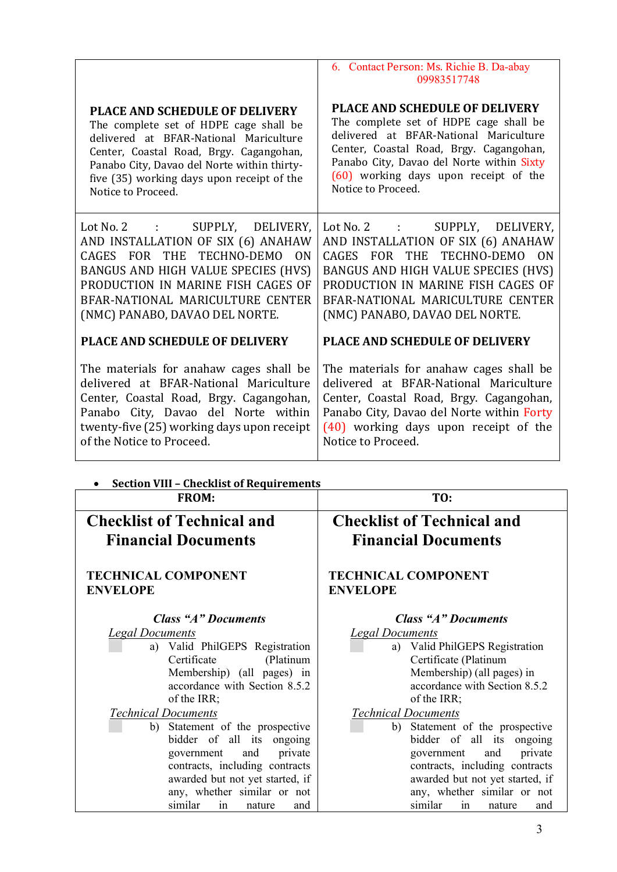|                                                                                                                                                                                                                                                        | 6. Contact Person: Ms. Richie B. Da-abay<br>09983517748                                                                                                                                                                                                      |
|--------------------------------------------------------------------------------------------------------------------------------------------------------------------------------------------------------------------------------------------------------|--------------------------------------------------------------------------------------------------------------------------------------------------------------------------------------------------------------------------------------------------------------|
| <b>PLACE AND SCHEDULE OF DELIVERY</b>                                                                                                                                                                                                                  | <b>PLACE AND SCHEDULE OF DELIVERY</b>                                                                                                                                                                                                                        |
| The complete set of HDPE cage shall be                                                                                                                                                                                                                 | The complete set of HDPE cage shall be                                                                                                                                                                                                                       |
| delivered at BFAR-National Mariculture                                                                                                                                                                                                                 | delivered at BFAR-National Mariculture                                                                                                                                                                                                                       |
| Center, Coastal Road, Brgy. Cagangohan,                                                                                                                                                                                                                | Center, Coastal Road, Brgy. Cagangohan,                                                                                                                                                                                                                      |
| Panabo City, Davao del Norte within thirty-                                                                                                                                                                                                            | Panabo City, Davao del Norte within Sixty                                                                                                                                                                                                                    |
| five (35) working days upon receipt of the                                                                                                                                                                                                             | (60) working days upon receipt of the                                                                                                                                                                                                                        |
| Notice to Proceed.                                                                                                                                                                                                                                     | Notice to Proceed.                                                                                                                                                                                                                                           |
| Lot No. 2 : SUPPLY, DELIVERY,<br>AND INSTALLATION OF SIX (6) ANAHAW<br>CAGES FOR THE TECHNO-DEMO ON<br>BANGUS AND HIGH VALUE SPECIES (HVS)<br>PRODUCTION IN MARINE FISH CAGES OF<br>BFAR-NATIONAL MARICULTURE CENTER<br>(NMC) PANABO, DAVAO DEL NORTE. | Lot No. 2 :<br>SUPPLY, DELIVERY,<br>AND INSTALLATION OF SIX (6) ANAHAW<br>CAGES FOR THE TECHNO-DEMO<br>ON<br>BANGUS AND HIGH VALUE SPECIES (HVS)<br>PRODUCTION IN MARINE FISH CAGES OF<br>BFAR-NATIONAL MARICULTURE CENTER<br>(NMC) PANABO, DAVAO DEL NORTE. |
| <b>PLACE AND SCHEDULE OF DELIVERY</b>                                                                                                                                                                                                                  | <b>PLACE AND SCHEDULE OF DELIVERY</b>                                                                                                                                                                                                                        |
| The materials for anahaw cages shall be                                                                                                                                                                                                                | The materials for anahaw cages shall be                                                                                                                                                                                                                      |
| delivered at BFAR-National Mariculture                                                                                                                                                                                                                 | delivered at BFAR-National Mariculture                                                                                                                                                                                                                       |
| Center, Coastal Road, Brgy. Cagangohan,                                                                                                                                                                                                                | Center, Coastal Road, Brgy. Cagangohan,                                                                                                                                                                                                                      |
| Panabo City, Davao del Norte within                                                                                                                                                                                                                    | Panabo City, Davao del Norte within Forty                                                                                                                                                                                                                    |
| twenty-five (25) working days upon receipt                                                                                                                                                                                                             | (40) working days upon receipt of the                                                                                                                                                                                                                        |
| of the Notice to Proceed.                                                                                                                                                                                                                              | Notice to Proceed.                                                                                                                                                                                                                                           |
| <b>Section VIII - Checklist of Requirements</b>                                                                                                                                                                                                        |                                                                                                                                                                                                                                                              |
| <b>FROM:</b>                                                                                                                                                                                                                                           | TO:                                                                                                                                                                                                                                                          |
| <b>Checklist of Technical and</b>                                                                                                                                                                                                                      | <b>Checklist of Technical and</b>                                                                                                                                                                                                                            |
| <b>Financial Documents</b>                                                                                                                                                                                                                             | <b>Financial Documents</b>                                                                                                                                                                                                                                   |
| <b>TECHNICAL COMPONENT</b>                                                                                                                                                                                                                             | <b>TECHNICAL COMPONENT</b>                                                                                                                                                                                                                                   |
| <b>ENVELOPE</b>                                                                                                                                                                                                                                        | <b>ENVELOPE</b>                                                                                                                                                                                                                                              |
| <b>Class "A" Documents</b>                                                                                                                                                                                                                             | <b>Class "A" Documents</b>                                                                                                                                                                                                                                   |
| <b>Legal Documents</b>                                                                                                                                                                                                                                 | <b>Legal Documents</b>                                                                                                                                                                                                                                       |

a) Valid PhilGEPS Registration<br>Certificate (Platinum (Platinum Membership) (all pages) in accordance with Section 8.5.2 of the IRR;

*Technical Documents*

- ⬜ b) Statement of the prospective bidder of all its ongoing government and private contracts, including contracts awarded but not yet started, if any, whether similar or not similar in nature and
- ⬜ a) Valid PhilGEPS Registration Certificate (Platinum Membership) (all pages) in accordance with Section 8.5.2 of the IRR;
- *Technical Documents*
	- ⬜ b) Statement of the prospective bidder of all its ongoing government and private contracts, including contracts awarded but not yet started, if any, whether similar or not similar in nature and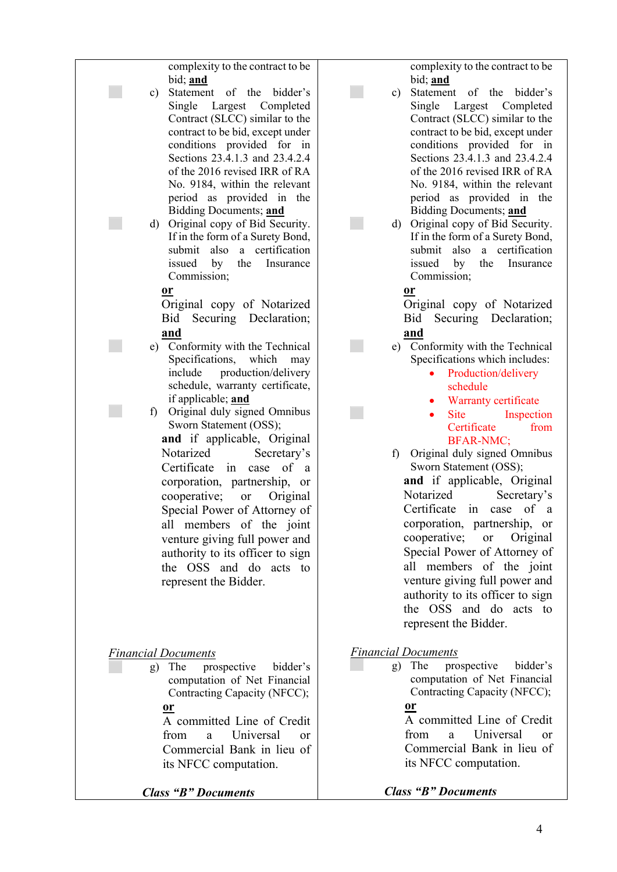| complexity to the contract to be<br>bid; and<br>Statement of the bidder's<br>c)<br>Single Largest Completed<br>Contract (SLCC) similar to the<br>contract to be bid, except under<br>conditions provided for in<br>Sections 23.4.1.3 and 23.4.2.4<br>of the 2016 revised IRR of RA<br>No. 9184, within the relevant<br>period as provided in the<br>Bidding Documents; and<br>Original copy of Bid Security.<br>d)<br>If in the form of a Surety Bond,<br>submit also a certification<br>issued by<br>the<br>Insurance<br>Commission; | complexity to the contract to be<br>bid; and<br>Statement of the bidder's<br>c)<br>Single Largest Completed<br>Contract (SLCC) similar to the<br>contract to be bid, except under<br>conditions provided for in<br>Sections 23.4.1.3 and 23.4.2.4<br>of the 2016 revised IRR of RA<br>No. 9184, within the relevant<br>period as provided in the<br>Bidding Documents; and<br>Original copy of Bid Security.<br>$\rm d)$<br>If in the form of a Surety Bond,<br>submit<br>a certification<br>also<br>issued<br>by<br>the<br>Insurance<br>Commission; |
|---------------------------------------------------------------------------------------------------------------------------------------------------------------------------------------------------------------------------------------------------------------------------------------------------------------------------------------------------------------------------------------------------------------------------------------------------------------------------------------------------------------------------------------|------------------------------------------------------------------------------------------------------------------------------------------------------------------------------------------------------------------------------------------------------------------------------------------------------------------------------------------------------------------------------------------------------------------------------------------------------------------------------------------------------------------------------------------------------|
| $or$                                                                                                                                                                                                                                                                                                                                                                                                                                                                                                                                  | $or$                                                                                                                                                                                                                                                                                                                                                                                                                                                                                                                                                 |
| Original copy of Notarized                                                                                                                                                                                                                                                                                                                                                                                                                                                                                                            | Original copy of Notarized                                                                                                                                                                                                                                                                                                                                                                                                                                                                                                                           |
| Securing Declaration;                                                                                                                                                                                                                                                                                                                                                                                                                                                                                                                 | Securing Declaration;                                                                                                                                                                                                                                                                                                                                                                                                                                                                                                                                |
| Bid                                                                                                                                                                                                                                                                                                                                                                                                                                                                                                                                   | Bid                                                                                                                                                                                                                                                                                                                                                                                                                                                                                                                                                  |
| and                                                                                                                                                                                                                                                                                                                                                                                                                                                                                                                                   | and                                                                                                                                                                                                                                                                                                                                                                                                                                                                                                                                                  |
| e) Conformity with the Technical                                                                                                                                                                                                                                                                                                                                                                                                                                                                                                      | e) Conformity with the Technical                                                                                                                                                                                                                                                                                                                                                                                                                                                                                                                     |
| Specifications, which may                                                                                                                                                                                                                                                                                                                                                                                                                                                                                                             | Specifications which includes:                                                                                                                                                                                                                                                                                                                                                                                                                                                                                                                       |
| include production/delivery                                                                                                                                                                                                                                                                                                                                                                                                                                                                                                           | Production/delivery                                                                                                                                                                                                                                                                                                                                                                                                                                                                                                                                  |
| schedule, warranty certificate,                                                                                                                                                                                                                                                                                                                                                                                                                                                                                                       | schedule                                                                                                                                                                                                                                                                                                                                                                                                                                                                                                                                             |
| if applicable; and<br>Original duly signed Omnibus<br>f)<br>Sworn Statement (OSS);<br>and if applicable, Original<br>Notarized<br>Secretary's<br>Certificate in<br>of a<br>case<br>corporation, partnership, or<br>cooperative;<br>Original<br>or<br>Special Power of Attorney of<br>all members of the joint<br>venture giving full power and<br>authority to its officer to sign<br>the OSS and do acts to<br>represent the Bidder.                                                                                                 | Warranty certificate<br><b>Site</b><br>Inspection<br>Certificate<br>from<br><b>BFAR-NMC;</b><br>Original duly signed Omnibus<br>$f$ )<br>Sworn Statement (OSS);<br>and if applicable, Original<br>Notarized<br>Secretary's<br>Certificate in case of a<br>corporation, partnership, or<br>cooperative;<br>Original<br><b>or</b><br>Special Power of Attorney of<br>all members of the joint<br>venture giving full power and<br>authority to its officer to sign<br>the OSS and do acts to<br>represent the Bidder.                                  |
| <b>Financial Documents</b>                                                                                                                                                                                                                                                                                                                                                                                                                                                                                                            | <b>Financial Documents</b>                                                                                                                                                                                                                                                                                                                                                                                                                                                                                                                           |
| bidder's                                                                                                                                                                                                                                                                                                                                                                                                                                                                                                                              | prospective                                                                                                                                                                                                                                                                                                                                                                                                                                                                                                                                          |
| The                                                                                                                                                                                                                                                                                                                                                                                                                                                                                                                                   | bidder's                                                                                                                                                                                                                                                                                                                                                                                                                                                                                                                                             |
| prospective                                                                                                                                                                                                                                                                                                                                                                                                                                                                                                                           | The                                                                                                                                                                                                                                                                                                                                                                                                                                                                                                                                                  |
| g)                                                                                                                                                                                                                                                                                                                                                                                                                                                                                                                                    | $\mathbf{g}$ )                                                                                                                                                                                                                                                                                                                                                                                                                                                                                                                                       |
| computation of Net Financial                                                                                                                                                                                                                                                                                                                                                                                                                                                                                                          | computation of Net Financial                                                                                                                                                                                                                                                                                                                                                                                                                                                                                                                         |
| Contracting Capacity (NFCC);                                                                                                                                                                                                                                                                                                                                                                                                                                                                                                          | Contracting Capacity (NFCC);                                                                                                                                                                                                                                                                                                                                                                                                                                                                                                                         |
| <u>or</u>                                                                                                                                                                                                                                                                                                                                                                                                                                                                                                                             | <u>or</u>                                                                                                                                                                                                                                                                                                                                                                                                                                                                                                                                            |
| A committed Line of Credit                                                                                                                                                                                                                                                                                                                                                                                                                                                                                                            | A committed Line of Credit                                                                                                                                                                                                                                                                                                                                                                                                                                                                                                                           |
| from                                                                                                                                                                                                                                                                                                                                                                                                                                                                                                                                  | Universal                                                                                                                                                                                                                                                                                                                                                                                                                                                                                                                                            |
| Universal                                                                                                                                                                                                                                                                                                                                                                                                                                                                                                                             | from                                                                                                                                                                                                                                                                                                                                                                                                                                                                                                                                                 |
| a                                                                                                                                                                                                                                                                                                                                                                                                                                                                                                                                     | a                                                                                                                                                                                                                                                                                                                                                                                                                                                                                                                                                    |
| <sub>or</sub>                                                                                                                                                                                                                                                                                                                                                                                                                                                                                                                         | <b>or</b>                                                                                                                                                                                                                                                                                                                                                                                                                                                                                                                                            |
| Commercial Bank in lieu of                                                                                                                                                                                                                                                                                                                                                                                                                                                                                                            | Commercial Bank in lieu of                                                                                                                                                                                                                                                                                                                                                                                                                                                                                                                           |
| its NFCC computation.                                                                                                                                                                                                                                                                                                                                                                                                                                                                                                                 | its NFCC computation.                                                                                                                                                                                                                                                                                                                                                                                                                                                                                                                                |
| <b>Class "B" Documents</b>                                                                                                                                                                                                                                                                                                                                                                                                                                                                                                            | <b>Class "B" Documents</b>                                                                                                                                                                                                                                                                                                                                                                                                                                                                                                                           |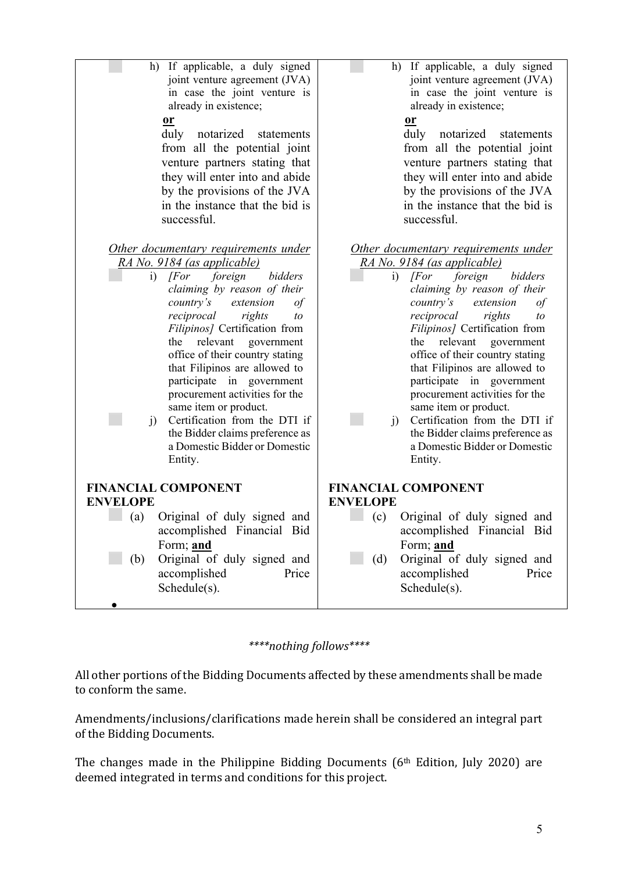| If applicable, a duly signed<br>h)<br>joint venture agreement (JVA)<br>in case the joint venture is<br>already in existence;<br>$or$<br>notarized<br>duly<br>statements<br>from all the potential joint | h) If applicable, a duly signed<br>joint venture agreement (JVA)<br>in case the joint venture is<br>already in existence;<br>$or$<br>notarized<br>duly<br>statements<br>from all the potential joint |
|---------------------------------------------------------------------------------------------------------------------------------------------------------------------------------------------------------|------------------------------------------------------------------------------------------------------------------------------------------------------------------------------------------------------|
| venture partners stating that                                                                                                                                                                           | venture partners stating that                                                                                                                                                                        |
| they will enter into and abide                                                                                                                                                                          | they will enter into and abide                                                                                                                                                                       |
| by the provisions of the JVA                                                                                                                                                                            | by the provisions of the JVA                                                                                                                                                                         |
| in the instance that the bid is                                                                                                                                                                         | in the instance that the bid is                                                                                                                                                                      |
| successful.                                                                                                                                                                                             | successful.                                                                                                                                                                                          |
| <u>Other documentary requirements under</u>                                                                                                                                                             | <u>Other documentary requirements under</u>                                                                                                                                                          |
| RA No. 9184 (as applicable)                                                                                                                                                                             | RA No. 9184 (as applicable)                                                                                                                                                                          |
| [For                                                                                                                                                                                                    | $\sqrt{F}$                                                                                                                                                                                           |
| foreign                                                                                                                                                                                                 | foreign                                                                                                                                                                                              |
| bidders                                                                                                                                                                                                 | bidders                                                                                                                                                                                              |
| i)                                                                                                                                                                                                      | i)                                                                                                                                                                                                   |
| claiming by reason of their                                                                                                                                                                             | claiming by reason of their                                                                                                                                                                          |
| country's                                                                                                                                                                                               | country's                                                                                                                                                                                            |
| extension                                                                                                                                                                                               | extension                                                                                                                                                                                            |
| $\iota$                                                                                                                                                                                                 | of                                                                                                                                                                                                   |
| reciprocal                                                                                                                                                                                              | reciprocal                                                                                                                                                                                           |
| rights                                                                                                                                                                                                  | rights                                                                                                                                                                                               |
| to                                                                                                                                                                                                      | $\iota$                                                                                                                                                                                              |
| Filipinos] Certification from                                                                                                                                                                           | Filipinos] Certification from                                                                                                                                                                        |
| relevant                                                                                                                                                                                                | relevant                                                                                                                                                                                             |
| government                                                                                                                                                                                              | government                                                                                                                                                                                           |
| the                                                                                                                                                                                                     | the                                                                                                                                                                                                  |
| office of their country stating                                                                                                                                                                         | office of their country stating                                                                                                                                                                      |
| that Filipinos are allowed to                                                                                                                                                                           | that Filipinos are allowed to                                                                                                                                                                        |
| participate in government                                                                                                                                                                               | participate in government                                                                                                                                                                            |
| procurement activities for the                                                                                                                                                                          | procurement activities for the                                                                                                                                                                       |
| same item or product.                                                                                                                                                                                   | same item or product.                                                                                                                                                                                |
| Certification from the DTI if                                                                                                                                                                           | Certification from the DTI if                                                                                                                                                                        |
| $\mathbf{j}$                                                                                                                                                                                            | $\ddot{1}$                                                                                                                                                                                           |
| the Bidder claims preference as                                                                                                                                                                         | the Bidder claims preference as                                                                                                                                                                      |
| a Domestic Bidder or Domestic                                                                                                                                                                           | a Domestic Bidder or Domestic                                                                                                                                                                        |
| Entity.                                                                                                                                                                                                 | Entity.                                                                                                                                                                                              |
| <b>FINANCIAL COMPONENT</b>                                                                                                                                                                              | <b>FINANCIAL COMPONENT</b>                                                                                                                                                                           |
| <b>ENVELOPE</b>                                                                                                                                                                                         | <b>ENVELOPE</b>                                                                                                                                                                                      |
| Original of duly signed and                                                                                                                                                                             | Original of duly signed and                                                                                                                                                                          |
| (a)                                                                                                                                                                                                     | (c)                                                                                                                                                                                                  |
| accomplished Financial Bid                                                                                                                                                                              | accomplished Financial Bid                                                                                                                                                                           |
| Form; and                                                                                                                                                                                               | Form; and                                                                                                                                                                                            |
| Original of duly signed and                                                                                                                                                                             | Original of duly signed and                                                                                                                                                                          |
| (b)                                                                                                                                                                                                     | (d)                                                                                                                                                                                                  |
| accomplished                                                                                                                                                                                            | accomplished                                                                                                                                                                                         |
| Price                                                                                                                                                                                                   | Price                                                                                                                                                                                                |
| Schedule(s).                                                                                                                                                                                            | Schedule(s).                                                                                                                                                                                         |

## *\*\*\*\*nothing follows\*\*\*\**

All other portions of the Bidding Documents affected by these amendments shall be made to conform the same.

Amendments/inclusions/clarifications made herein shall be considered an integral part of the Bidding Documents.

The changes made in the Philippine Bidding Documents  $(6<sup>th</sup>$  Edition, July 2020) are deemed integrated in terms and conditions for this project.